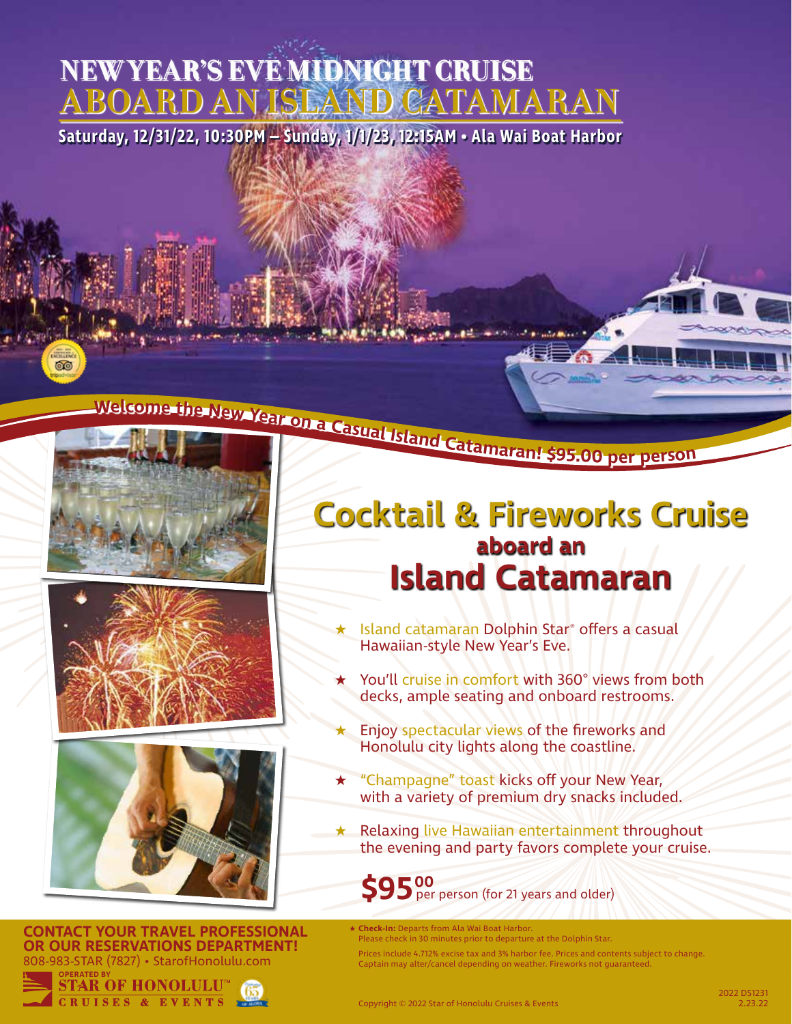# **NEW YEAR'S EVE MIDNIGHT CRUISE ABOARD AN ISLAND CATAMARAN**

**Saturday, 12/31/22, 10:30PM – Sunday, 1/1/23, 12:15AM • Ala Wai Boat Harbor**

බෙ



**CONTACT YOUR TRAVEL PROFESSIONAL OR OUR RESERVATIONS DEPARTMENT!** 808-983-STAR (7827) • StarofHonolulu.com



## **Cocktail & Fireworks Cruise aboard an Island Catamaran**

- Island catamaran Dolphin Star® offers a casual Hawaiian-style New Year's Eve.
- You'll cruise in comfort with 360° views from both decks, ample seating and onboard restrooms.
- Enjoy spectacular views of the fireworks and Honolulu city lights along the coastline.
- ★ "Champagne" toast kicks off your New Year, with a variety of premium dry snacks included.
- ★ Relaxing live Hawaiian entertainment throughout the evening and party favors complete your cruise.

**\$95** per person (for 21 years and older) **00**

- ★ **Check-In:** Departs from Ala Wai Boat Harbor. Please check in 30 minutes prior to departure at the Dolphin Star.
	- Prices include 4.712% excise tax and 3% harbor fee. Prices and contents subject to change. Captain may alter/cancel depending on weather. Fireworks not guaranteed.